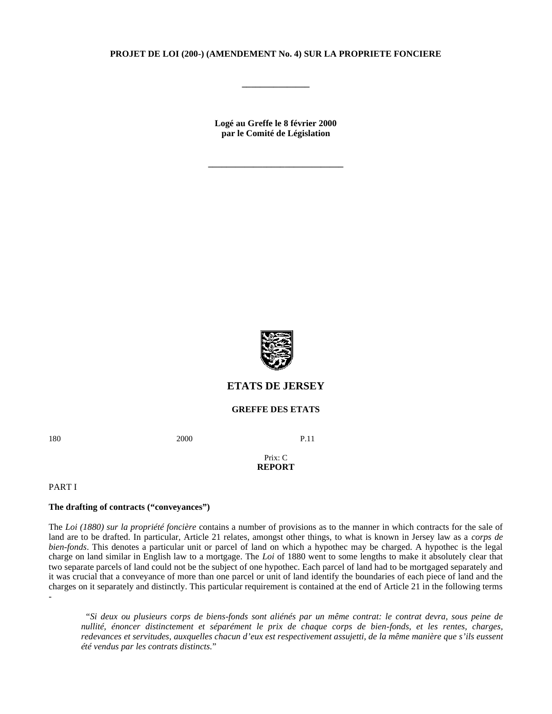# **PROJET DE LOI (200-) (AMENDEMENT No. 4) SUR LA PROPRIETE FONCIERE**

**\_\_\_\_\_\_\_\_\_\_\_\_\_\_\_**

**Logé au Greffe le 8 février 2000 par le Comité de Législation**

**\_\_\_\_\_\_\_\_\_\_\_\_\_\_\_\_\_\_\_\_\_\_\_\_\_\_\_\_\_\_**



# **ETATS DE JERSEY**

# **GREFFE DES ETATS**

180 2000 P.11

#### Prix: C **REPORT**

#### PART I

-

# **The drafting of contracts ("conveyances")**

The *Loi (1880) sur la propriété foncière* contains a number of provisions as to the manner in which contracts for the sale of land are to be drafted. In particular, Article 21 relates, amongst other things, to what is known in Jersey law as a *corps de bien-fonds*. This denotes a particular unit or parcel of land on which a hypothec may be charged. A hypothec is the legal charge on land similar in English law to a mortgage. The *Loi* of 1880 went to some lengths to make it absolutely clear that two separate parcels of land could not be the subject of one hypothec. Each parcel of land had to be mortgaged separately and it was crucial that a conveyance of more than one parcel or unit of land identify the boundaries of each piece of land and the charges on it separately and distinctly. This particular requirement is contained at the end of Article 21 in the following terms

 "*Si deux ou plusieurs corps de biens-fonds sont aliénés par un même contrat: le contrat devra, sous peine de nullité, énoncer distinctement et séparément le prix de chaque corps de bien-fonds, et les rentes, charges, redevances et servitudes, auxquelles chacun d'eux est respectivement assujetti, de la même manière que s'ils eussent été vendus par les contrats distincts.*"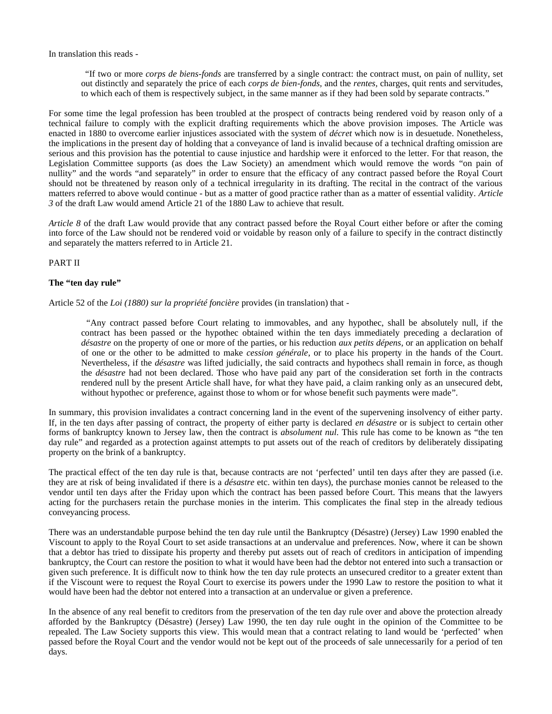In translation this reads -

 "If two or more *corps de biens-fonds* are transferred by a single contract: the contract must, on pain of nullity, set out distinctly and separately the price of each *corps de bien-fonds,* and the *rentes,* charges, quit rents and servitudes, to which each of them is respectively subject, in the same manner as if they had been sold by separate contracts."

For some time the legal profession has been troubled at the prospect of contracts being rendered void by reason only of a technical failure to comply with the explicit drafting requirements which the above provision imposes. The Article was enacted in 1880 to overcome earlier injustices associated with the system of *décret* which now is in desuetude. Nonetheless, the implications in the present day of holding that a conveyance of land is invalid because of a technical drafting omission are serious and this provision has the potential to cause injustice and hardship were it enforced to the letter. For that reason, the Legislation Committee supports (as does the Law Society) an amendment which would remove the words "on pain of nullity" and the words "and separately" in order to ensure that the efficacy of any contract passed before the Royal Court should not be threatened by reason only of a technical irregularity in its drafting. The recital in the contract of the various matters referred to above would continue - but as a matter of good practice rather than as a matter of essential validity. *Article 3* of the draft Law would amend Article 21 of the 1880 Law to achieve that result.

*Article 8* of the draft Law would provide that any contract passed before the Royal Court either before or after the coming into force of the Law should not be rendered void or voidable by reason only of a failure to specify in the contract distinctly and separately the matters referred to in Article 21.

# PART II

#### **The "ten day rule"**

Article 52 of the *Loi (1880) sur la propriété foncière* provides (in translation) that -

 "Any contract passed before Court relating to immovables, and any hypothec, shall be absolutely null, if the contract has been passed or the hypothec obtained within the ten days immediately preceding a declaration of *désastre* on the property of one or more of the parties, or his reduction *aux petits dépens,* or an application on behalf of one or the other to be admitted to make *cession générale*, or to place his property in the hands of the Court. Nevertheless, if the *désastre* was lifted judicially, the said contracts and hypothecs shall remain in force, as though the *désastre* had not been declared. Those who have paid any part of the consideration set forth in the contracts rendered null by the present Article shall have, for what they have paid, a claim ranking only as an unsecured debt, without hypothec or preference, against those to whom or for whose benefit such payments were made".

In summary, this provision invalidates a contract concerning land in the event of the supervening insolvency of either party. If, in the ten days after passing of contract, the property of either party is declared *en désastre* or is subject to certain other forms of bankruptcy known to Jersey law, then the contract is *absolument nul.* This rule has come to be known as "the ten day rule" and regarded as a protection against attempts to put assets out of the reach of creditors by deliberately dissipating property on the brink of a bankruptcy.

The practical effect of the ten day rule is that, because contracts are not 'perfected' until ten days after they are passed (i.e. they are at risk of being invalidated if there is a *désastre* etc. within ten days), the purchase monies cannot be released to the vendor until ten days after the Friday upon which the contract has been passed before Court. This means that the lawyers acting for the purchasers retain the purchase monies in the interim. This complicates the final step in the already tedious conveyancing process.

There was an understandable purpose behind the ten day rule until the Bankruptcy (Désastre) (Jersey) Law 1990 enabled the Viscount to apply to the Royal Court to set aside transactions at an undervalue and preferences. Now, where it can be shown that a debtor has tried to dissipate his property and thereby put assets out of reach of creditors in anticipation of impending bankruptcy, the Court can restore the position to what it would have been had the debtor not entered into such a transaction or given such preference. It is difficult now to think how the ten day rule protects an unsecured creditor to a greater extent than if the Viscount were to request the Royal Court to exercise its powers under the 1990 Law to restore the position to what it would have been had the debtor not entered into a transaction at an undervalue or given a preference.

In the absence of any real benefit to creditors from the preservation of the ten day rule over and above the protection already afforded by the Bankruptcy (Désastre) (Jersey) Law 1990, the ten day rule ought in the opinion of the Committee to be repealed. The Law Society supports this view. This would mean that a contract relating to land would be 'perfected' when passed before the Royal Court and the vendor would not be kept out of the proceeds of sale unnecessarily for a period of ten days.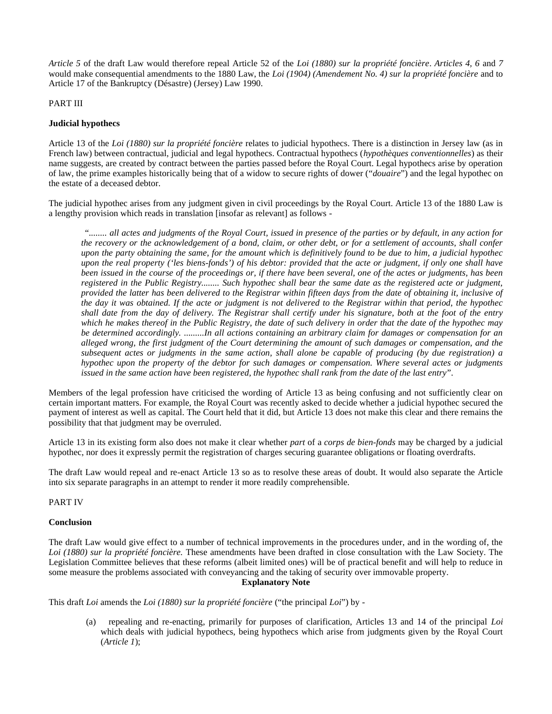*Article 5* of the draft Law would therefore repeal Article 52 of the *Loi (1880) sur la propriété foncière*. *Articles 4, 6* and *7* would make consequential amendments to the 1880 Law, the *Loi (1904) (Amendement No. 4) sur la propriété foncière* and to Article 17 of the Bankruptcy (Désastre) (Jersey) Law 1990.

# PART III

# **Judicial hypothecs**

Article 13 of the *Loi (1880) sur la propriété foncière* relates to judicial hypothecs. There is a distinction in Jersey law (as in French law) between contractual, judicial and legal hypothecs. Contractual hypothecs (*hypothèques conventionnelles*) as their name suggests, are created by contract between the parties passed before the Royal Court. Legal hypothecs arise by operation of law, the prime examples historically being that of a widow to secure rights of dower ("*douaire*") and the legal hypothec on the estate of a deceased debtor.

The judicial hypothec arises from any judgment given in civil proceedings by the Royal Court. Article 13 of the 1880 Law is a lengthy provision which reads in translation [insofar as relevant] as follows -

 "*........ all actes and judgments of the Royal Court, issued in presence of the parties or by default, in any action for the recovery or the acknowledgement of a bond, claim, or other debt, or for a settlement of accounts, shall confer upon the party obtaining the same, for the amount which is definitively found to be due to him, a judicial hypothec upon the real property ('les biens-fonds') of his debtor: provided that the acte or judgment, if only one shall have been issued in the course of the proceedings or, if there have been several, one of the actes or judgments, has been registered in the Public Registry........ Such hypothec shall bear the same date as the registered acte or judgment, provided the latter has been delivered to the Registrar within fifteen days from the date of obtaining it, inclusive of the day it was obtained. If the acte or judgment is not delivered to the Registrar within that period, the hypothec shall date from the day of delivery. The Registrar shall certify under his signature, both at the foot of the entry which he makes thereof in the Public Registry, the date of such delivery in order that the date of the hypothec may be determined accordingly. .........In all actions containing an arbitrary claim for damages or compensation for an alleged wrong, the first judgment of the Court determining the amount of such damages or compensation, and the subsequent actes or judgments in the same action, shall alone be capable of producing (by due registration) a hypothec upon the property of the debtor for such damages or compensation. Where several actes or judgments issued in the same action have been registered, the hypothec shall rank from the date of the last entry*".

Members of the legal profession have criticised the wording of Article 13 as being confusing and not sufficiently clear on certain important matters. For example, the Royal Court was recently asked to decide whether a judicial hypothec secured the payment of interest as well as capital. The Court held that it did, but Article 13 does not make this clear and there remains the possibility that that judgment may be overruled.

Article 13 in its existing form also does not make it clear whether *part* of a *corps de bien-fonds* may be charged by a judicial hypothec, nor does it expressly permit the registration of charges securing guarantee obligations or floating overdrafts.

The draft Law would repeal and re-enact Article 13 so as to resolve these areas of doubt. It would also separate the Article into six separate paragraphs in an attempt to render it more readily comprehensible.

PART IV

# **Conclusion**

The draft Law would give effect to a number of technical improvements in the procedures under, and in the wording of, the *Loi (1880) sur la propriété foncière.* These amendments have been drafted in close consultation with the Law Society. The Legislation Committee believes that these reforms (albeit limited ones) will be of practical benefit and will help to reduce in some measure the problems associated with conveyancing and the taking of security over immovable property.

**Explanatory Note**

This draft *Loi* amends the *Loi (1880) sur la propriété foncière* ("the principal *Loi*") by -

 (a) repealing and re-enacting, primarily for purposes of clarification, Articles 13 and 14 of the principal *Loi* which deals with judicial hypothecs, being hypothecs which arise from judgments given by the Royal Court (*Article 1*);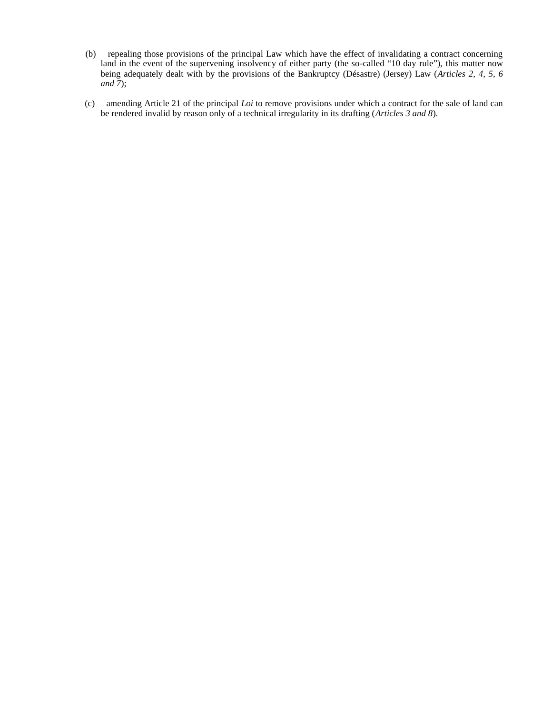- (b) repealing those provisions of the principal Law which have the effect of invalidating a contract concerning land in the event of the supervening insolvency of either party (the so-called "10 day rule"), this matter now being adequately dealt with by the provisions of the Bankruptcy (Désastre) (Jersey) Law (*Articles 2, 4, 5, 6 and 7*);
- (c) amending Article 21 of the principal *Loi* to remove provisions under which a contract for the sale of land can be rendered invalid by reason only of a technical irregularity in its drafting (*Articles 3 and 8*).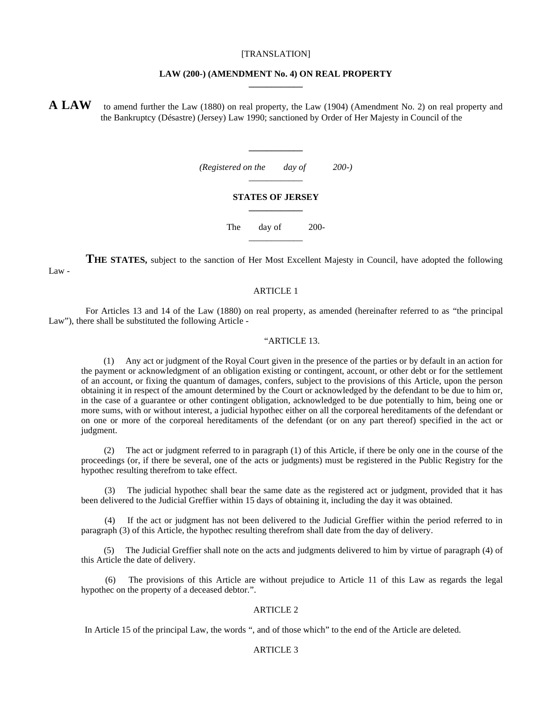#### [TRANSLATION]

#### **LAW (200-) (AMENDMENT No. 4) ON REAL PROPERTY \_\_\_\_\_\_\_\_\_\_\_\_**

**A LAW** to amend further the Law (1880) on real property, the Law (1904) (Amendment No. 2) on real property and the Bankruptcy (Désastre) (Jersey) Law 1990; sanctioned by Order of Her Majesty in Council of the

> *(Registered on the day of 200-)* \_\_\_\_\_\_\_\_\_\_\_\_

**\_\_\_\_\_\_\_\_\_\_\_\_**

#### **STATES OF JERSEY \_\_\_\_\_\_\_\_\_\_\_\_**

The day of 200-\_\_\_\_\_\_\_\_\_\_\_\_

**THE STATES,** subject to the sanction of Her Most Excellent Majesty in Council, have adopted the following Law -

#### ARTICLE 1

 For Articles 13 and 14 of the Law (1880) on real property, as amended (hereinafter referred to as "the principal Law"), there shall be substituted the following Article -

#### "ARTICLE 13.

 (1) Any act or judgment of the Royal Court given in the presence of the parties or by default in an action for the payment or acknowledgment of an obligation existing or contingent, account, or other debt or for the settlement of an account, or fixing the quantum of damages, confers, subject to the provisions of this Article, upon the person obtaining it in respect of the amount determined by the Court or acknowledged by the defendant to be due to him or, in the case of a guarantee or other contingent obligation, acknowledged to be due potentially to him, being one or more sums, with or without interest, a judicial hypothec either on all the corporeal hereditaments of the defendant or on one or more of the corporeal hereditaments of the defendant (or on any part thereof) specified in the act or judgment.

 (2) The act or judgment referred to in paragraph (1) of this Article, if there be only one in the course of the proceedings (or, if there be several, one of the acts or judgments) must be registered in the Public Registry for the hypothec resulting therefrom to take effect.

The judicial hypothec shall bear the same date as the registered act or judgment, provided that it has been delivered to the Judicial Greffier within 15 days of obtaining it, including the day it was obtained.

 (4) If the act or judgment has not been delivered to the Judicial Greffier within the period referred to in paragraph (3) of this Article, the hypothec resulting therefrom shall date from the day of delivery.

 (5) The Judicial Greffier shall note on the acts and judgments delivered to him by virtue of paragraph (4) of this Article the date of delivery.

 (6) The provisions of this Article are without prejudice to Article 11 of this Law as regards the legal hypothec on the property of a deceased debtor.".

# ARTICLE 2

In Article 15 of the principal Law, the words ", and of those which" to the end of the Article are deleted.

# ARTICLE 3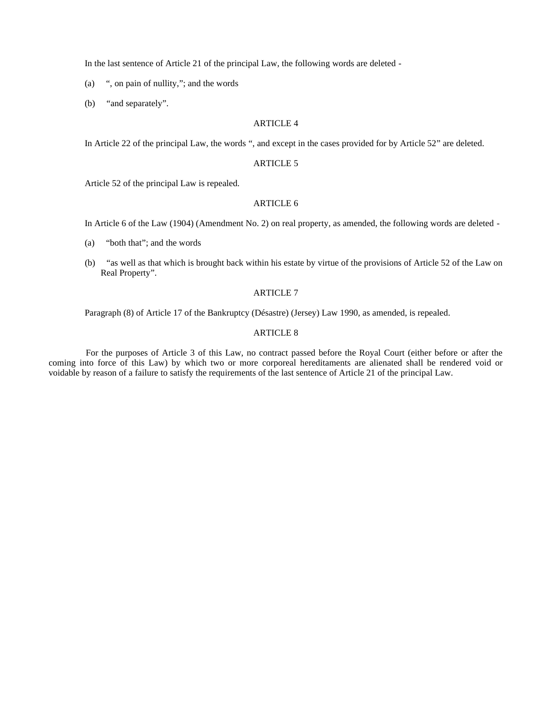In the last sentence of Article 21 of the principal Law, the following words are deleted -

(a) ", on pain of nullity,"; and the words

(b) "and separately".

#### ARTICLE 4

In Article 22 of the principal Law, the words ", and except in the cases provided for by Article 52" are deleted.

### ARTICLE 5

Article 52 of the principal Law is repealed.

# ARTICLE 6

In Article 6 of the Law (1904) (Amendment No. 2) on real property, as amended, the following words are deleted -

- (a) "both that"; and the words
- (b) "as well as that which is brought back within his estate by virtue of the provisions of Article 52 of the Law on Real Property".

# ARTICLE 7

Paragraph (8) of Article 17 of the Bankruptcy (Désastre) (Jersey) Law 1990, as amended, is repealed.

#### ARTICLE 8

 For the purposes of Article 3 of this Law, no contract passed before the Royal Court (either before or after the coming into force of this Law) by which two or more corporeal hereditaments are alienated shall be rendered void or voidable by reason of a failure to satisfy the requirements of the last sentence of Article 21 of the principal Law.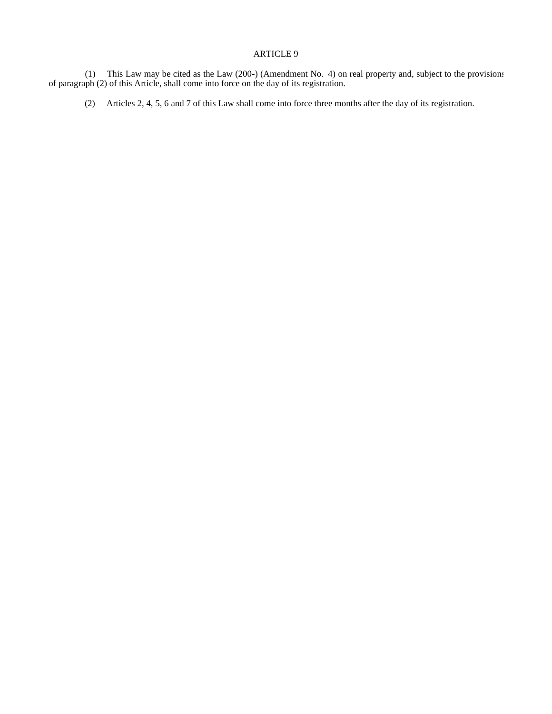# ARTICLE 9

 (1) This Law may be cited as the Law (200-) (Amendment No. 4) on real property and, subject to the provisions of paragraph (2) of this Article, shall come into force on the day of its registration.

(2) Articles 2, 4, 5, 6 and 7 of this Law shall come into force three months after the day of its registration.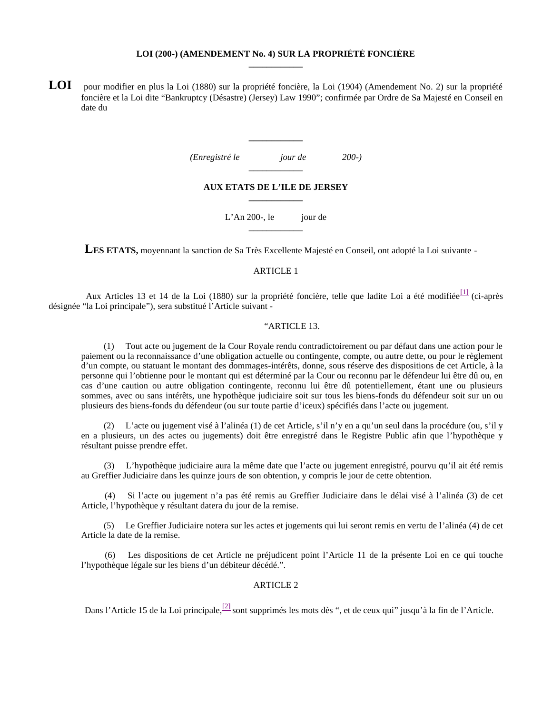#### **LOI (200-) (AMENDEMENT No. 4) SUR LA PROPRIÉTÉ FONCIÈRE \_\_\_\_\_\_\_\_\_\_\_\_**

**LOI** pour modifier en plus la Loi (1880) sur la propriété foncière, la Loi (1904) (Amendement No. 2) sur la propriété foncière et la Loi dite "Bankruptcy (Désastre) (Jersey) Law 1990"; confirmée par Ordre de Sa Majesté en Conseil en date du

> *(Enregistré le jour de 200-)* \_\_\_\_\_\_\_\_\_\_\_\_

**\_\_\_\_\_\_\_\_\_\_\_\_**

#### **AUX ETATS DE L'ILE DE JERSEY \_\_\_\_\_\_\_\_\_\_\_\_**

L'An 200-, le jour de \_\_\_\_\_\_\_\_\_\_\_\_

**LES ETATS,** moyennant la sanction de Sa Très Excellente Majesté en Conseil, ont adopté la Loi suivante -

#### ARTICLE 1

Aux Articles 13 et 14 de la Loi (1880) sur la propriété foncière, telle que ladite Loi a été modifiée<sup>[1]</sup> (ci-après désignée "la Loi principale"), sera substitué l'Article suivant -

## "ARTICLE 13.

 (1) Tout acte ou jugement de la Cour Royale rendu contradictoirement ou par défaut dans une action pour le paiement ou la reconnaissance d'une obligation actuelle ou contingente, compte, ou autre dette, ou pour le règlement d'un compte, ou statuant le montant des dommages-intérêts, donne, sous réserve des dispositions de cet Article, à la personne qui l'obtienne pour le montant qui est déterminé par la Cour ou reconnu par le défendeur lui être dû ou, en cas d'une caution ou autre obligation contingente, reconnu lui être dû potentiellement, étant une ou plusieurs sommes, avec ou sans intérêts, une hypothèque judiciaire soit sur tous les biens-fonds du défendeur soit sur un ou plusieurs des biens-fonds du défendeur (ou sur toute partie d'iceux) spécifiés dans l'acte ou jugement.

 (2) L'acte ou jugement visé à l'alinéa (1) de cet Article, s'il n'y en a qu'un seul dans la procédure (ou, s'il y en a plusieurs, un des actes ou jugements) doit être enregistré dans le Registre Public afin que l'hypothèque y résultant puisse prendre effet.

 (3) L'hypothèque judiciaire aura la même date que l'acte ou jugement enregistré, pourvu qu'il ait été remis au Greffier Judiciaire dans les quinze jours de son obtention, y compris le jour de cette obtention.

 (4) Si l'acte ou jugement n'a pas été remis au Greffier Judiciaire dans le délai visé à l'alinéa (3) de cet Article, l'hypothèque y résultant datera du jour de la remise.

 (5) Le Greffier Judiciaire notera sur les actes et jugements qui lui seront remis en vertu de l'alinéa (4) de cet Article la date de la remise.

 (6) Les dispositions de cet Article ne préjudicent point l'Article 11 de la présente Loi en ce qui touche l'hypothèque légale sur les biens d'un débiteur décédé.".

# ARTICLE 2

Dans l'Article 15 de la Loi principale,  $\frac{[2]}{[2]}$  sont supprimés les mots dès ", et de ceux qui" jusqu'à la fin de l'Article.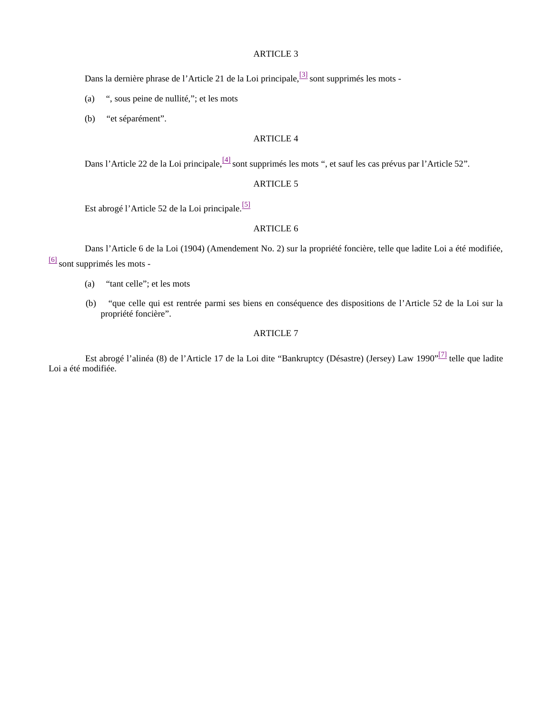## ARTICLE 3

Dans la dernière phrase de l'Article 21 de la Loi principale,  $\frac{3}{3}$  sont supprimés les mots -

(a) ", sous peine de nullité,"; et les mots

(b) "et séparément".

# ARTICLE 4

Dans l'Article 22 de la Loi principale, <sup>[4]</sup> sont supprimés les mots ", et sauf les cas prévus par l'Article 52".

# ARTICLE 5

Est abrogé l'Article 52 de la Loi principale.<sup>[5]</sup>

# ARTICLE 6

 Dans l'Article 6 de la Loi (1904) (Amendement No. 2) sur la propriété foncière, telle que ladite Loi a été modifiée, [6] sont supprimés les mots -

- (a) "tant celle"; et les mots
- (b) "que celle qui est rentrée parmi ses biens en conséquence des dispositions de l'Article 52 de la Loi sur la propriété foncière".

#### ARTICLE 7

Est abrogé l'alinéa (8) de l'Article 17 de la Loi dite "Bankruptcy (Désastre) (Jersey) Law 1990"<sup>[7]</sup> telle que ladite Loi a été modifiée.